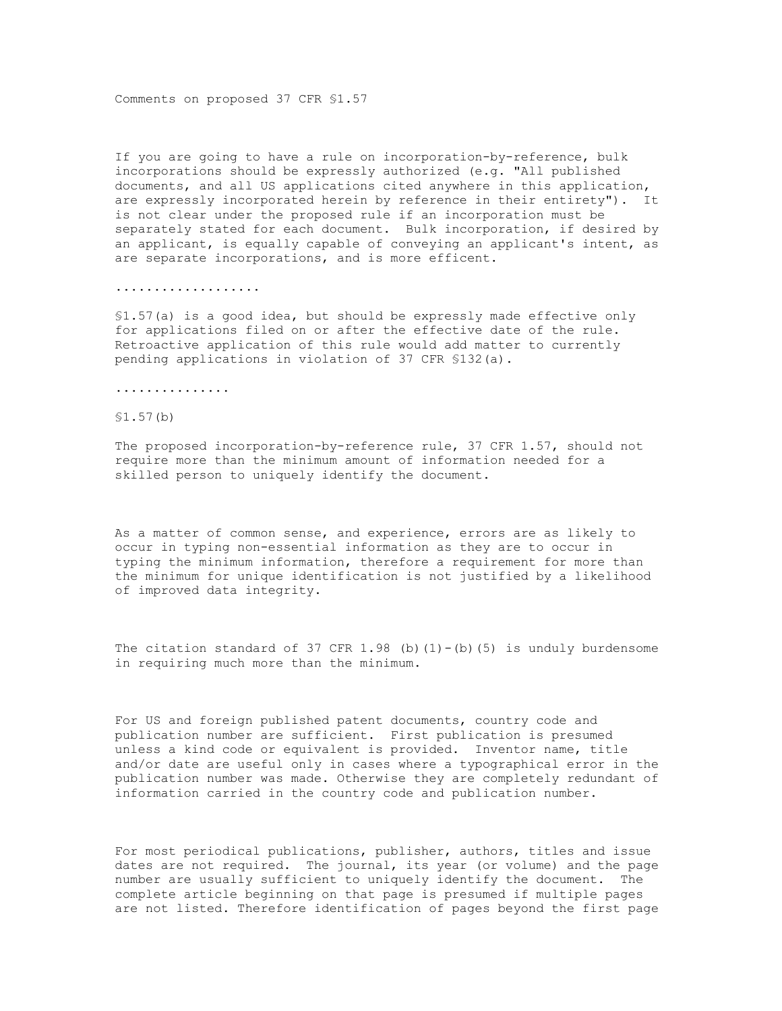Comments on proposed 37 CFR §1.57

If you are going to have a rule on incorporation-by-reference, bulk incorporations should be expressly authorized (e.g. "All published documents, and all US applications cited anywhere in this application, are expressly incorporated herein by reference in their entirety"). It is not clear under the proposed rule if an incorporation must be separately stated for each document. Bulk incorporation, if desired by an applicant, is equally capable of conveying an applicant's intent, as are separate incorporations, and is more efficent.

...................

§1.57(a) is a good idea, but should be expressly made effective only for applications filed on or after the effective date of the rule. Retroactive application of this rule would add matter to currently pending applications in violation of 37 CFR §132(a).

...............

## §1.57(b)

The proposed incorporation-by-reference rule, 37 CFR 1.57, should not require more than the minimum amount of information needed for a skilled person to uniquely identify the document.

As a matter of common sense, and experience, errors are as likely to occur in typing non-essential information as they are to occur in typing the minimum information, therefore a requirement for more than the minimum for unique identification is not justified by a likelihood of improved data integrity.

The citation standard of 37 CFR 1.98 (b)(1)-(b)(5) is unduly burdensome in requiring much more than the minimum.

For US and foreign published patent documents, country code and publication number are sufficient. First publication is presumed unless a kind code or equivalent is provided. Inventor name, title and/or date are useful only in cases where a typographical error in the publication number was made. Otherwise they are completely redundant of information carried in the country code and publication number.

For most periodical publications, publisher, authors, titles and issue dates are not required. The journal, its year (or volume) and the page number are usually sufficient to uniquely identify the document. The complete article beginning on that page is presumed if multiple pages are not listed. Therefore identification of pages beyond the first page